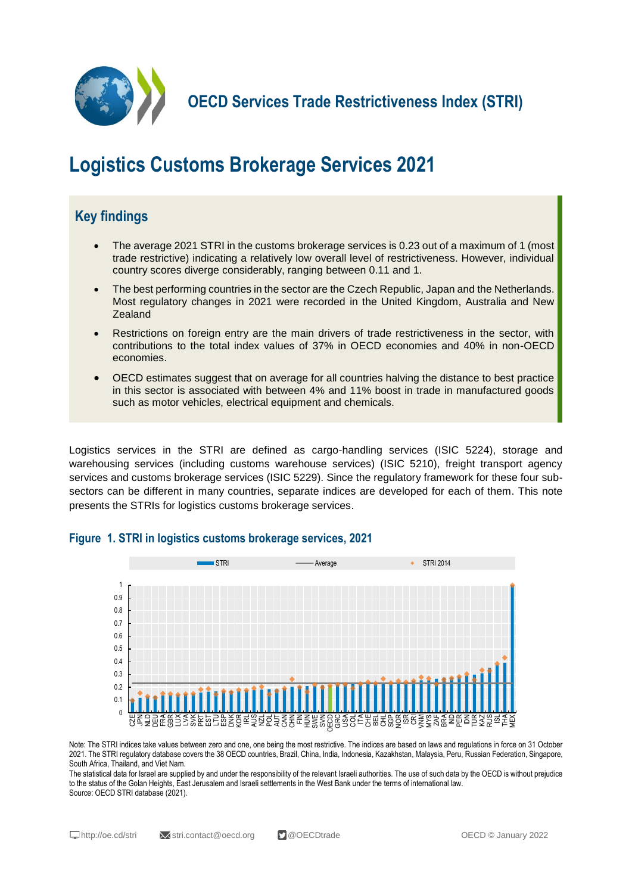

**OECD Services Trade Restrictiveness Index (STRI)**

# **Logistics Customs Brokerage Services 2021**

## **Key findings**

- The average 2021 STRI in the customs brokerage services is 0.23 out of a maximum of 1 (most trade restrictive) indicating a relatively low overall level of restrictiveness. However, individual country scores diverge considerably, ranging between 0.11 and 1.
- The best performing countries in the sector are the Czech Republic, Japan and the Netherlands. Most regulatory changes in 2021 were recorded in the United Kingdom, Australia and New Zealand
- Restrictions on foreign entry are the main drivers of trade restrictiveness in the sector, with contributions to the total index values of 37% in OECD economies and 40% in non-OECD economies.
- OECD estimates suggest that on average for all countries halving the distance to best practice in this sector is associated with between 4% and 11% boost in trade in manufactured goods such as motor vehicles, electrical equipment and chemicals.

Logistics services in the STRI are defined as cargo-handling services (ISIC 5224), storage and warehousing services (including customs warehouse services) (ISIC 5210), freight transport agency services and customs brokerage services (ISIC 5229). Since the regulatory framework for these four subsectors can be different in many countries, separate indices are developed for each of them. This note presents the STRIs for logistics customs brokerage services.



**Figure 1. STRI in logistics customs brokerage services, 2021**

Note: The STRI indices take values between zero and one, one being the most restrictive. The indices are based on laws and regulations in force on 31 October 2021. The STRI regulatory database covers the 38 OECD countries, Brazil, China, India, Indonesia, Kazakhstan, Malaysia, Peru, Russian Federation, Singapore, South Africa, Thailand, and Viet Nam.

The statistical data for Israel are supplied by and under the responsibility of the relevant Israeli authorities. The use of such data by the OECD is without prejudice to the status of the Golan Heights, East Jerusalem and Israeli settlements in the West Bank under the terms of international law. Source: OECD STRI database (2021).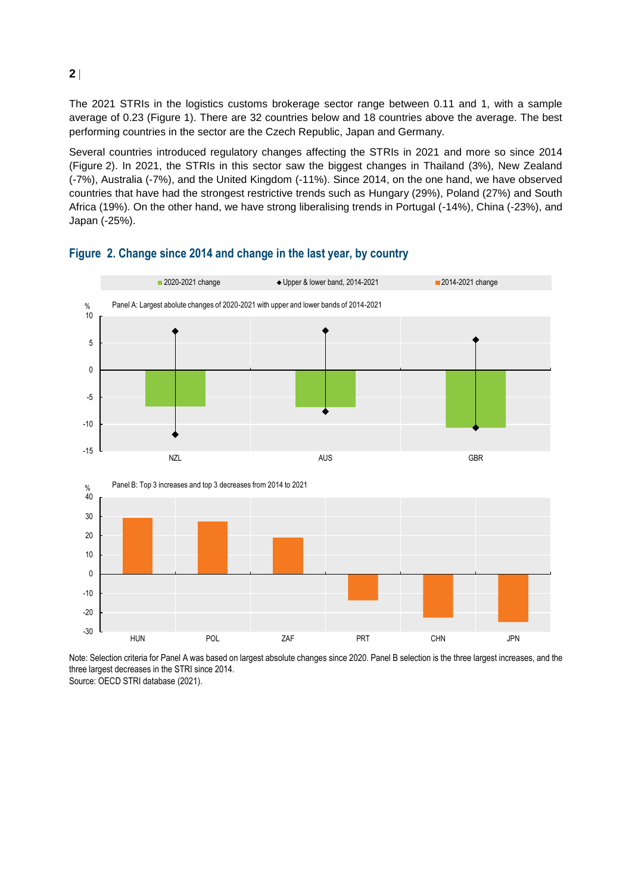The 2021 STRIs in the logistics customs brokerage sector range between 0.11 and 1, with a sample average of 0.23 (Figure 1). There are 32 countries below and 18 countries above the average. The best performing countries in the sector are the Czech Republic, Japan and Germany.

Several countries introduced regulatory changes affecting the STRIs in 2021 and more so since 2014 (Figure 2). In 2021, the STRIs in this sector saw the biggest changes in Thailand (3%), New Zealand (-7%), Australia (-7%), and the United Kingdom (-11%). Since 2014, on the one hand, we have observed countries that have had the strongest restrictive trends such as Hungary (29%), Poland (27%) and South Africa (19%). On the other hand, we have strong liberalising trends in Portugal (-14%), China (-23%), and Japan (-25%).



### **Figure 2. Change since 2014 and change in the last year, by country**

Note: Selection criteria for Panel A was based on largest absolute changes since 2020. Panel B selection is the three largest increases, and the three largest decreases in the STRI since 2014.

Source: OECD STRI database (2021).

**2**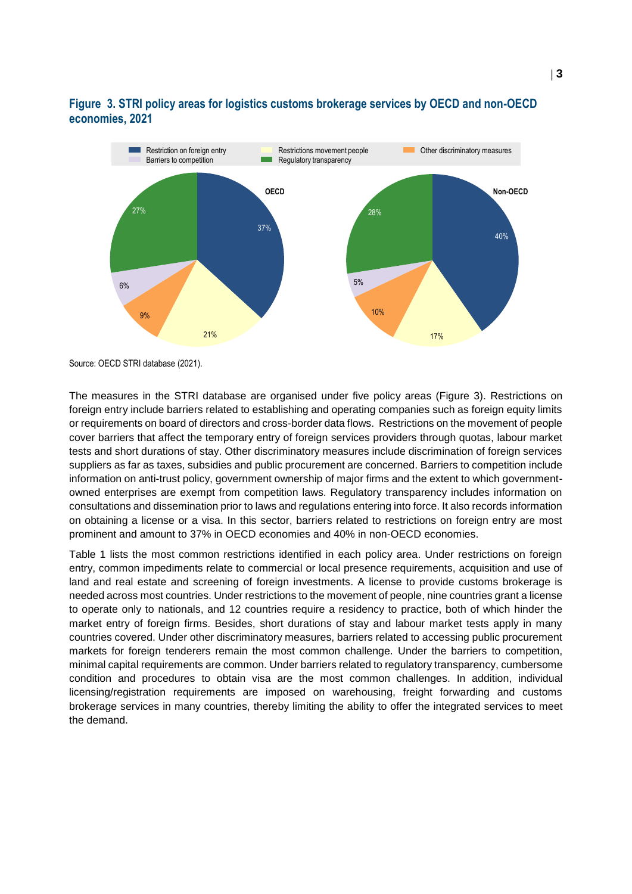#### **Figure 3. STRI policy areas for logistics customs brokerage services by OECD and non-OECD economies, 2021**



Source: OECD STRI database (2021).

The measures in the STRI database are organised under five policy areas (Figure 3). Restrictions on foreign entry include barriers related to establishing and operating companies such as foreign equity limits or requirements on board of directors and cross-border data flows. Restrictions on the movement of people cover barriers that affect the temporary entry of foreign services providers through quotas, labour market tests and short durations of stay. Other discriminatory measures include discrimination of foreign services suppliers as far as taxes, subsidies and public procurement are concerned. Barriers to competition include information on anti-trust policy, government ownership of major firms and the extent to which governmentowned enterprises are exempt from competition laws. Regulatory transparency includes information on consultations and dissemination prior to laws and regulations entering into force. It also records information on obtaining a license or a visa. In this sector, barriers related to restrictions on foreign entry are most prominent and amount to 37% in OECD economies and 40% in non-OECD economies.

Table 1 lists the most common restrictions identified in each policy area. Under restrictions on foreign entry, common impediments relate to commercial or local presence requirements, acquisition and use of land and real estate and screening of foreign investments. A license to provide customs brokerage is needed across most countries. Under restrictions to the movement of people, nine countries grant a license to operate only to nationals, and 12 countries require a residency to practice, both of which hinder the market entry of foreign firms. Besides, short durations of stay and labour market tests apply in many countries covered. Under other discriminatory measures, barriers related to accessing public procurement markets for foreign tenderers remain the most common challenge. Under the barriers to competition, minimal capital requirements are common. Under barriers related to regulatory transparency, cumbersome condition and procedures to obtain visa are the most common challenges. In addition, individual licensing/registration requirements are imposed on warehousing, freight forwarding and customs brokerage services in many countries, thereby limiting the ability to offer the integrated services to meet the demand.